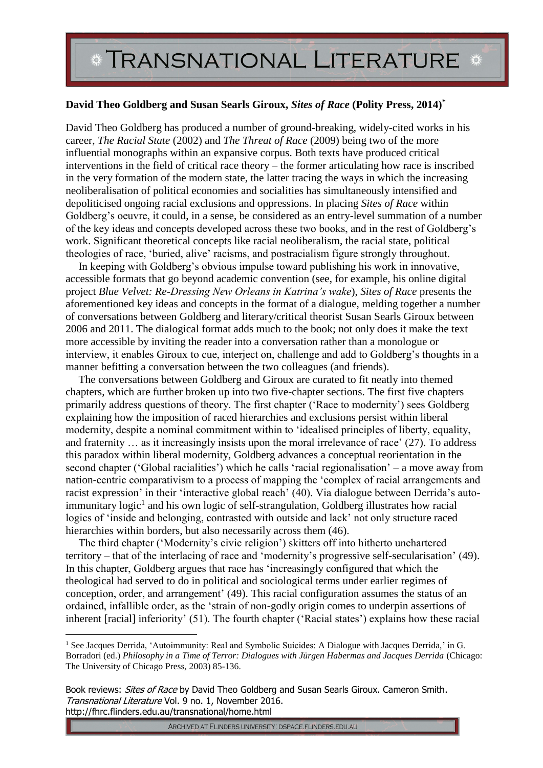## **\* TRANSNATIONAL LITERATURE \***

## **David Theo Goldberg and Susan Searls Giroux,** *Sites of Race* **(Polity Press, 2014)\***

David Theo Goldberg has produced a number of ground-breaking, widely-cited works in his career, *The Racial State* (2002) and *The Threat of Race* (2009) being two of the more influential monographs within an expansive corpus. Both texts have produced critical interventions in the field of critical race theory – the former articulating how race is inscribed in the very formation of the modern state, the latter tracing the ways in which the increasing neoliberalisation of political economies and socialities has simultaneously intensified and depoliticised ongoing racial exclusions and oppressions. In placing *Sites of Race* within Goldberg's oeuvre, it could, in a sense, be considered as an entry-level summation of a number of the key ideas and concepts developed across these two books, and in the rest of Goldberg's work. Significant theoretical concepts like racial neoliberalism, the racial state, political theologies of race, 'buried, alive' racisms, and postracialism figure strongly throughout.

In keeping with Goldberg's obvious impulse toward publishing his work in innovative, accessible formats that go beyond academic convention (see, for example, his online digital project *Blue Velvet: Re-Dressing New Orleans in Katrina's wake*), *Sites of Race* presents the aforementioned key ideas and concepts in the format of a dialogue, melding together a number of conversations between Goldberg and literary/critical theorist Susan Searls Giroux between 2006 and 2011. The dialogical format adds much to the book; not only does it make the text more accessible by inviting the reader into a conversation rather than a monologue or interview, it enables Giroux to cue, interject on, challenge and add to Goldberg's thoughts in a manner befitting a conversation between the two colleagues (and friends).

The conversations between Goldberg and Giroux are curated to fit neatly into themed chapters, which are further broken up into two five-chapter sections. The first five chapters primarily address questions of theory. The first chapter ('Race to modernity') sees Goldberg explaining how the imposition of raced hierarchies and exclusions persist within liberal modernity, despite a nominal commitment within to 'idealised principles of liberty, equality, and fraternity … as it increasingly insists upon the moral irrelevance of race' (27). To address this paradox within liberal modernity, Goldberg advances a conceptual reorientation in the second chapter ('Global racialities') which he calls 'racial regionalisation' – a move away from nation-centric comparativism to a process of mapping the 'complex of racial arrangements and racist expression' in their 'interactive global reach' (40). Via dialogue between Derrida's autoimmunitary logic<sup>1</sup> and his own logic of self-strangulation, Goldberg illustrates how racial logics of 'inside and belonging, contrasted with outside and lack' not only structure raced hierarchies within borders, but also necessarily across them (46).

The third chapter ('Modernity's civic religion') skitters off into hitherto unchartered territory – that of the interlacing of race and 'modernity's progressive self-secularisation' (49). In this chapter, Goldberg argues that race has 'increasingly configured that which the theological had served to do in political and sociological terms under earlier regimes of conception, order, and arrangement' (49). This racial configuration assumes the status of an ordained, infallible order, as the 'strain of non-godly origin comes to underpin assertions of inherent [racial] inferiority' (51). The fourth chapter ('Racial states') explains how these racial

Book reviews: Sites of Race by David Theo Goldberg and Susan Searls Giroux. Cameron Smith. Transnational Literature Vol. 9 no. 1, November 2016. http://fhrc.flinders.edu.au/transnational/home.html

1

```
ARCHIVED AT FLINDERS UNIVERSITY: DSPACE.FLINDERS.EDU.AU
```
<sup>&</sup>lt;sup>1</sup> See Jacques Derrida, 'Autoimmunity: Real and Symbolic Suicides: A Dialogue with Jacques Derrida,' in G. Borradori (ed.) *Philosophy in a Time of Terror: Dialogues with Jürgen Habermas and Jacques Derrida* (Chicago: The University of Chicago Press, 2003) 85-136.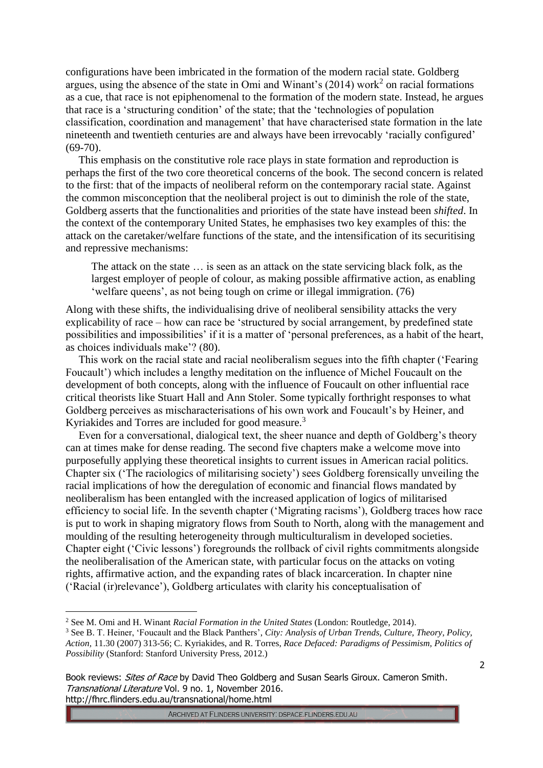configurations have been imbricated in the formation of the modern racial state. Goldberg argues, using the absence of the state in Omi and Winant's  $(2014)$  work<sup>2</sup> on racial formations as a cue, that race is not epiphenomenal to the formation of the modern state. Instead, he argues that race is a 'structuring condition' of the state; that the 'technologies of population classification, coordination and management' that have characterised state formation in the late nineteenth and twentieth centuries are and always have been irrevocably 'racially configured' (69-70).

This emphasis on the constitutive role race plays in state formation and reproduction is perhaps the first of the two core theoretical concerns of the book. The second concern is related to the first: that of the impacts of neoliberal reform on the contemporary racial state. Against the common misconception that the neoliberal project is out to diminish the role of the state, Goldberg asserts that the functionalities and priorities of the state have instead been *shifted*. In the context of the contemporary United States, he emphasises two key examples of this: the attack on the caretaker/welfare functions of the state, and the intensification of its securitising and repressive mechanisms:

The attack on the state … is seen as an attack on the state servicing black folk, as the largest employer of people of colour, as making possible affirmative action, as enabling 'welfare queens', as not being tough on crime or illegal immigration. (76)

Along with these shifts, the individualising drive of neoliberal sensibility attacks the very explicability of race – how can race be 'structured by social arrangement, by predefined state possibilities and impossibilities' if it is a matter of 'personal preferences, as a habit of the heart, as choices individuals make'? (80).

This work on the racial state and racial neoliberalism segues into the fifth chapter ('Fearing Foucault') which includes a lengthy meditation on the influence of Michel Foucault on the development of both concepts, along with the influence of Foucault on other influential race critical theorists like Stuart Hall and Ann Stoler. Some typically forthright responses to what Goldberg perceives as mischaracterisations of his own work and Foucault's by Heiner, and Kyriakides and Torres are included for good measure.<sup>3</sup>

Even for a conversational, dialogical text, the sheer nuance and depth of Goldberg's theory can at times make for dense reading. The second five chapters make a welcome move into purposefully applying these theoretical insights to current issues in American racial politics. Chapter six ('The raciologics of militarising society') sees Goldberg forensically unveiling the racial implications of how the deregulation of economic and financial flows mandated by neoliberalism has been entangled with the increased application of logics of militarised efficiency to social life. In the seventh chapter ('Migrating racisms'), Goldberg traces how race is put to work in shaping migratory flows from South to North, along with the management and moulding of the resulting heterogeneity through multiculturalism in developed societies. Chapter eight ('Civic lessons') foregrounds the rollback of civil rights commitments alongside the neoliberalisation of the American state, with particular focus on the attacks on voting rights, affirmative action, and the expanding rates of black incarceration. In chapter nine ('Racial (ir)relevance'), Goldberg articulates with clarity his conceptualisation of

<u>.</u>

<sup>2</sup> See M. Omi and H. Winant *Racial Formation in the United States* (London: Routledge, 2014).

<sup>3</sup> See B. T. Heiner, 'Foucault and the Black Panthers', *City: Analysis of Urban Trends, Culture, Theory, Policy, Action,* 11.30 (2007) 313-56; C. Kyriakides, and R. Torres, *Race Defaced: Paradigms of Pessimism, Politics of Possibility* (Stanford: Stanford University Press, 2012.)

Book reviews: *Sites of Race* by David Theo Goldberg and Susan Searls Giroux. Cameron Smith. Transnational Literature Vol. 9 no. 1, November 2016. http://fhrc.flinders.edu.au/transnational/home.html